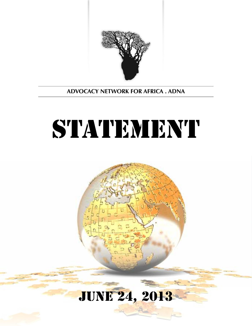

**ADVOCACY NETWORK FOR AFRICA . ADNA**

# STATEMENT

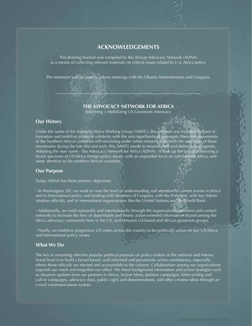#### **ACKNOWLEDGEMENTS**

This Briefing booklet was compiled by the African Advocacy Network (ADNA) as a means of collecting relevant materials on critical issues related to U.S. Africa policy.

The statement will be used to inform meetings with the Obama Administration and Congress.

**\_\_\_\_\_\_\_\_\_\_\_\_\_\_\_\_\_\_\_\_\_\_\_\_\_\_\_\_\_\_\_\_\_\_\_\_\_\_\_\_\_\_\_\_\_\_\_\_\_\_\_\_\_\_\_\_\_\_**

#### **THE ADVOCACY NETWORK FOR AFRICA**

Informing + Mobilizing US Grassroots Advocacy

#### **Our History**

Under the name of the Southern Africa Working Group (SAWG), this network was founded to share in formation and mobilize action in solidarity with the anti-Apartheidand grassroots liberation movements VALUE COLORED TERRATION CONTROLLED TO COLORED THE COLORED TERRATION OF THE COLORED OF THE COLORED OF THE COLOR<br>Of the Southern African countries still remaining under white minority rule. With the successes of those movements during the late 80s and early 90s, SAWG neede to rename itself and define a new agenda. Adopting the new name - The Advocacy Network for Africa (ADNA) - it took up the task of addressing a broad spectrum of US/Africa foreign policy issues, with an expanded focus on sub-Saharan Africa, and some attention to the northern African countries.

#### **Our Purpose**

Today, ADNA has three primary objectives:

- In Washington, DC we work to raise the level of understanding and attention to current events in Africa and in International policy and funding with Members of Congress, with the President, with key Admin istration officials, and in international organizations like the United Nations and the World Bank.

- Additionally, we work nationally and internationally through the organizationalmembers and contact networks to increase the flow of dependable and timely action-oriented information shared among the Africa advocacy community here in the US, and between US-based and African grassroots groups.

- Finally, we mobilize progressive US voters across the country to be politically active on key US/Africa and International policy issues.

#### **What We Do**

The key to mounting effective popular political pressure on policy makers at the national and interna tional level is to build a broad based, well-informed and persistently active constituency, especially where those officials are elected and accountable to the citizens. Collaboration among our organizations expands our reach and magnifies our effect. We share background information and action strategies such as situation updates from our partners in Africa, Action Alerts, petition campaigns, letter-writing and call-in campaigns, advocacy days, public vigils and demonstrations, and other creative ideas through an e-mail communications system.

ということ あいかん こうかん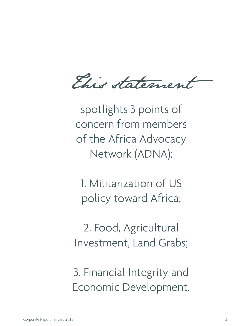This statement

spotlights 3 points of concern from members of the Africa Advocacy Network (ADNA):

1. Militarization of US policy toward Africa;

2. Food, Agricultural Investment, Land Grabs;

3. Financial Integrity and Economic Development.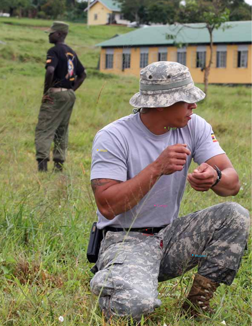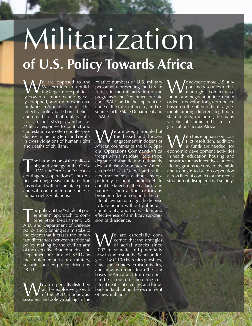## Militarization of U.S. Policy Towards Africa

e are opposed to the Western focus on building larger, more politically powerful, more technologically-equipped, and more expensive militaries in African countries. This reflects a policy based on a belief and on a habit - that military solutions are the first step toward peace. Military responses to conflict and contestation are often counter-productive in the long term and results in gross violations of human rights and deaths of civilians.

The introduction of the philosophy and strategy of the Global War or Terror (or "overseas contingency operations") into Africa with aggressive militarization has not and will not facilitate peace and will continue to contribute to human rights violations.

he policy of the "whole of government" approach to combine State Department, US AID, and Department of Defense policy and planning is a mistake to the extent that it erases the important differences between traditional policy making by the civilian arm of the executive Branch such as the Department of State and USAID and the implementation of a military, security focused policy, driven by DOD.

e are especially disturbed at the explosive growth of the DOD in policy assessment and policy-making, in the

relative numbers of U.S. military personnel representing the U.S. in Africa, in the militarization of the programs of the Department of State and USAID, and in the apparent decline of the role, influence, and resources of the State Department and USAID.

e are deeply troubled at the broad and hidden engagement in dozens of African countries of the U.S. Special Operations Command-Africa troops with a mandate "to disrupt, degrade, dismantle and ultimately defeat those who attacked America on 9/11 -- al-Qaida" and "affiliated movements" without any opportunity for public policy debate about the targets of their attacks and nature of their actions or for any broader reflection on both the collateral civilian damage, the license to take action without public accountability, and the wisdom and effectiveness of a military suppression of dissidence.

e are especially con-<br>cerned that the strategies of aerial attacks since 2007 in Somalia and potentially now in the rest of the Sahelian Region - by C-130 Hercules gunships, attack helicopters, cruise missiles, and now by drones from the four bases in Africa and from Europe can be a source of mounting collateral deaths of civilians and blowback in facilitating the recruitment of new militants.

e advocate more U.S. support and resources for human rights, conflict resolution, and negotiation in Africa in order to develop long-term peace<br>based on the often difficult agreements among different legitimate stakeholders, including the many varieties of Islamic and Islamist organizations across Africa.

ith this emphasis on conflict resolution, additional funds are needed for economic development activities in health, education, housing, and infrastructure as incentives for conflicting groups to come to the table and to begin to build cooperation across lines of conflict for the reconstruction of disrupted civil society.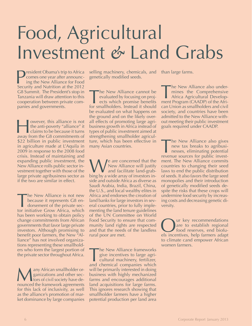## Food, Agricultural Investment & Land Grabs

resident Obama's trip to Africa comes one year after announcing the New Alliance for Food Security and Nutrition at the 2012 G8 Summit. The President's stop in Tanzania will draw attention to this cooperation between private companies and governments.

owever, this alliance is not the anti-poverty "alliance" it  $\blacksquare$  claims to be because it turns away from the G8 commitments of \$22 billion in public investment in agriculture made at L'Aquila in 2009 in response to the 2008 food crisis. Instead of maintaining and expanding public investment, the New Alliance rolls public sector investment together with those of the large private agribusiness sector as if the two are similar in effect.

The New Alliance is not new because it represents G8 endorsement of the private sector initiative Grow Africa, which has been working to obtain policy change commitments from African governments that favor large private investors. Although promising to benefit poor farmers, the New "Alliance" has not involved organizations representing these smallholders who form the largest portion of the private sector throughout Africa.

any African smallholder organizations and other sectors of civil society have denounced the framework agreements for this lack of inclusivity, as well as the alliance's promotion of market dominance by large companies

selling machinery, chemicals, and genetically modified seeds.

The New Alliance cannot be evaluated by focusing on projects which promise benefits for smallholders. Instead it should be evaluated on what happens on the ground and on the likely overall effects of promoting large agribusiness growth in Africa instead of types of public investment aimed at strengthening smallholder agriculture, which has been effective in many Asian countries.

'e are concerned that the New Alliance will justify and facilitate land-grabbing by a wide array of investors inside and outside Africa as diverse as Saudi Arabia, India, Brazil, China, the U.S., and local wealthy elites in Africa and endorses the creation of land banks for large investors in several countries, prior to fully implementing the land tenure guidelines of the UN Committee on World Food Security to ensure that community land rights are respected and that the needs of the landless rural poor are met.

The New Alliance frameworks give incentives to large agricultural machinery, fertilizer, and chemical companies which will be primarily interested in doing business with highly mechanized farms and encourages additional land acquisitions for large farms. This ignores research showing that smallholder farmers have a higher potential production per land area

than large farms.

The New Alliance also undermines the Comprehensive Africa Agricultural Development Program (CAADP) of the African Union as smallholders and civil society, and countries have been admitted to the New Alliance without meeting their public investment goals required under CAADP.

The New Alliance also gives new tax breaks to agribusinesses, eliminating potential revenue sources for public investment. The New Alliance commits countries to changing their seed laws to end the public distribution of seeds. It also favors the large seed monopolies and their introduction of genetically modified seeds despite the risks that these crops will undermine food security by increasing costs and decreasing genetic diversity.

ur key recommendations are to establish regional food reserves, end biofuels incentives, help farmers adapt to climate cand empower African women farmers.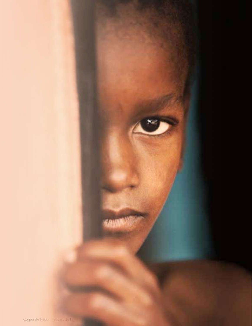